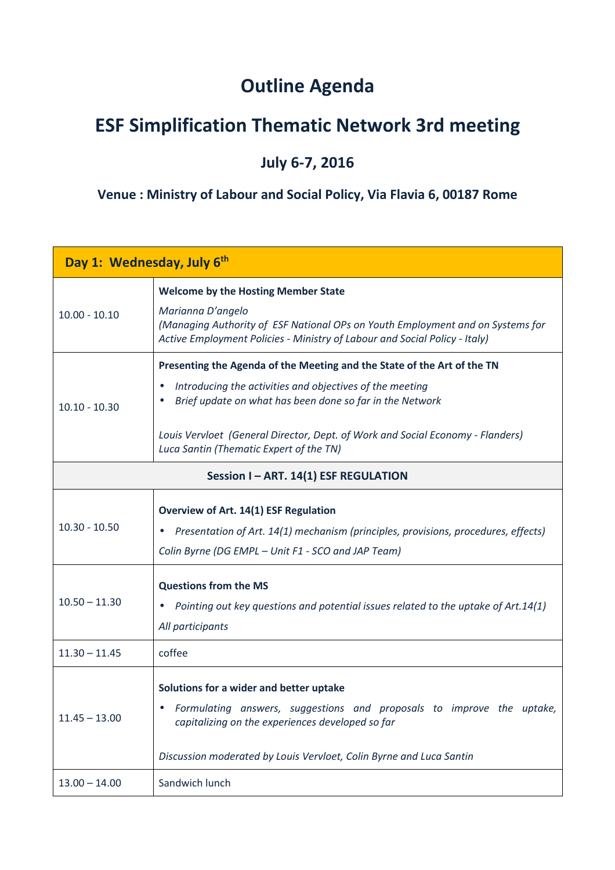## **Outline Agenda**

## **ESF Simplification Thematic Network 3rd meeting**

## **July 6-7, 2016**

## **Venue : Ministry of Labour and Social Policy, Via Flavia 6, 00187 Rome**

| Day 1: Wednesday, July 6th          |                                                                                                                                                                                                                                                                                                                              |  |
|-------------------------------------|------------------------------------------------------------------------------------------------------------------------------------------------------------------------------------------------------------------------------------------------------------------------------------------------------------------------------|--|
| $10.00 - 10.10$                     | <b>Welcome by the Hosting Member State</b><br>Marianna D'angelo<br>(Managing Authority of ESF National OPs on Youth Employment and on Systems for<br>Active Employment Policies - Ministry of Labour and Social Policy - Italy)                                                                                              |  |
| $10.10 - 10.30$                     | Presenting the Agenda of the Meeting and the State of the Art of the TN<br>Introducing the activities and objectives of the meeting<br>Brief update on what has been done so far in the Network<br>Louis Vervloet (General Director, Dept. of Work and Social Economy - Flanders)<br>Luca Santin (Thematic Expert of the TN) |  |
| Session I-ART. 14(1) ESF REGULATION |                                                                                                                                                                                                                                                                                                                              |  |
| $10.30 - 10.50$                     | Overview of Art. 14(1) ESF Regulation<br>Presentation of Art. 14(1) mechanism (principles, provisions, procedures, effects)<br>Colin Byrne (DG EMPL - Unit F1 - SCO and JAP Team)                                                                                                                                            |  |
| $10.50 - 11.30$                     | <b>Questions from the MS</b><br>Pointing out key questions and potential issues related to the uptake of Art.14(1)<br>All participants                                                                                                                                                                                       |  |
| $11.30 - 11.45$                     | coffee                                                                                                                                                                                                                                                                                                                       |  |
| $11.45 - 13.00$                     | Solutions for a wider and better uptake<br>Formulating answers, suggestions and proposals to improve the uptake,<br>capitalizing on the experiences developed so far<br>Discussion moderated by Louis Vervloet, Colin Byrne and Luca Santin                                                                                  |  |
| $13.00 - 14.00$                     | Sandwich lunch                                                                                                                                                                                                                                                                                                               |  |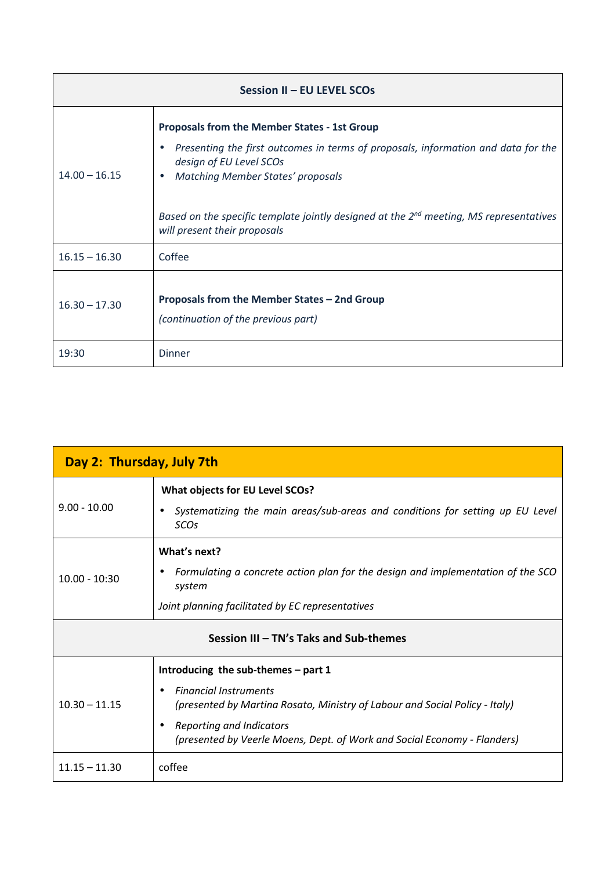| Session II - EU LEVEL SCOs |                                                                                                                                                                                                                                                                                                                                                |  |
|----------------------------|------------------------------------------------------------------------------------------------------------------------------------------------------------------------------------------------------------------------------------------------------------------------------------------------------------------------------------------------|--|
| $14.00 - 16.15$            | <b>Proposals from the Member States - 1st Group</b><br>Presenting the first outcomes in terms of proposals, information and data for the<br>design of EU Level SCOs<br><b>Matching Member States' proposals</b><br>Based on the specific template jointly designed at the $2^{nd}$ meeting, MS representatives<br>will present their proposals |  |
| $16.15 - 16.30$            | Coffee                                                                                                                                                                                                                                                                                                                                         |  |
| $16.30 - 17.30$            | Proposals from the Member States - 2nd Group<br>(continuation of the previous part)                                                                                                                                                                                                                                                            |  |
| 19:30                      | <b>Dinner</b>                                                                                                                                                                                                                                                                                                                                  |  |

| Day 2: Thursday, July 7th              |                                                                                                                          |  |
|----------------------------------------|--------------------------------------------------------------------------------------------------------------------------|--|
| $9.00 - 10.00$                         | What objects for EU Level SCOs?<br>Systematizing the main areas/sub-areas and conditions for setting up EU Level         |  |
|                                        | SCOs                                                                                                                     |  |
| $10.00 - 10:30$                        | What's next?                                                                                                             |  |
|                                        | Formulating a concrete action plan for the design and implementation of the SCO<br>system                                |  |
|                                        | Joint planning facilitated by EC representatives                                                                         |  |
| Session III - TN's Taks and Sub-themes |                                                                                                                          |  |
| $10.30 - 11.15$                        | Introducing the sub-themes - part 1                                                                                      |  |
|                                        | <b>Financial Instruments</b><br>$\bullet$<br>(presented by Martina Rosato, Ministry of Labour and Social Policy - Italy) |  |
|                                        | Reporting and Indicators<br>(presented by Veerle Moens, Dept. of Work and Social Economy - Flanders)                     |  |
| $11.15 - 11.30$                        | coffee                                                                                                                   |  |